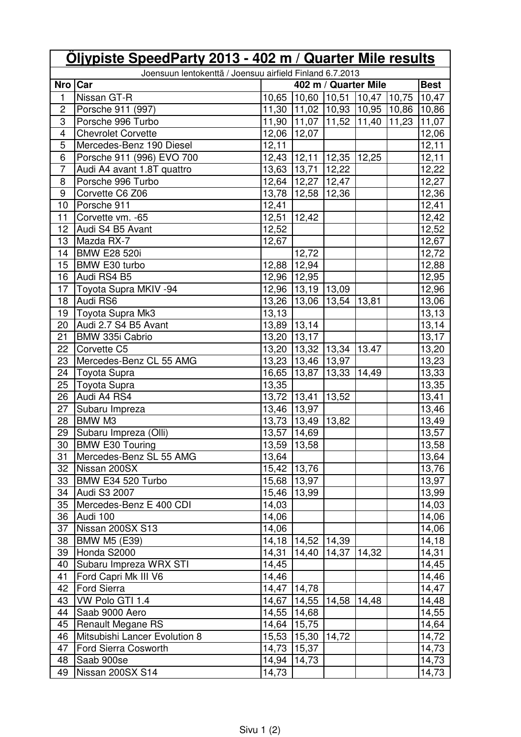| Joensuun lentokenttä / Joensuu airfield Finland 6.7.2013<br><b>Best</b><br>Nro   Car<br>402 m / Quarter Mile<br>10,65 10,60 10,51 10,47 10,75<br>$\sqrt{10,47}$<br>1<br>Nissan GT-R<br>$\overline{c}$<br>11,30 11,02 10,93 10,95<br>10,86 10,86<br>Porsche 911 (997)<br>3<br>Porsche 996 Turbo<br>11,90   11,07   11,52   11,40   11,23<br>11,07<br>12,06 12,07<br>12,06<br>4<br><b>Chevrolet Corvette</b><br>$\overline{5}$<br>12,11<br>12,11<br>Mercedes-Benz 190 Diesel<br>6<br>Porsche 911 (996) EVO 700<br>12,43 12,11 12,35<br>12,25<br>12,11<br>$\overline{7}$<br>12,22<br>13,63 13,71 12,22<br>Audi A4 avant 1.8T quattro<br>8<br>Porsche 996 Turbo<br>12,64 12,27 12,47<br>12,27<br>$\boldsymbol{9}$<br>12,36<br>Corvette C6 Z06<br>13,78   12,58   12,36<br>Porsche 911<br>12,41<br>12,41<br>10<br>$12,51$ 12,42<br>12,42<br>11<br>Corvette vm. - 65<br>12,52<br>Audi S4 B5 Avant<br>12,52<br>12<br>Mazda RX-7<br>13<br>12,67<br>12,67<br><b>BMW E28 520i</b><br>12,72<br>12,72<br>14<br>15<br>BMW E30 turbo<br>12,88 12,94<br>12,88<br>Audi RS4 B5<br>16<br>12,96 12,95<br>12,95<br>17<br>Toyota Supra MKIV -94<br>12,96<br>12,96   13,19   13,09<br>13,06<br>Audi RS6<br>13,26 13,06<br>13,54<br>13,81<br>18<br>Toyota Supra Mk3<br>13,13<br>13,13<br>19<br>20<br>Audi 2.7 S4 B5 Avant<br>13,89 13,14<br>13,14<br>BMW 335i Cabrio<br>21<br>13,20 13,17<br>13,17<br>13,20 13,32 13,34 13.47<br>22<br>13,20<br>Corvette C5<br>23<br>Mercedes-Benz CL 55 AMG<br>13,23<br>13,23 13,46 13,97<br>13,33<br>24<br>Toyota Supra<br>16,65   13,87   13,33<br>14,49<br>13,35<br>25<br>13,35<br>Toyota Supra<br>13,72   13,41   13,52<br>26<br>Audi A4 RS4<br>13,41<br>13,46<br>27<br>13,46 13,97<br>Subaru Impreza<br>BMW M3<br>13,73 13,49 13,82<br>13,49<br>28<br>29<br>13,57<br>13,57<br>14,69<br>Subaru Impreza (Olli)<br><b>BMW E30 Touring</b><br>13,59 13,58<br>13,58<br>30 <sup>2</sup><br>31<br>Mercedes-Benz SL 55 AMG<br>13,64<br>13,64<br>32<br>Nissan 200SX<br>15,42 13,76<br>13,76<br>33<br>BMW E34 520 Turbo<br>13,97<br>15,68 13,97<br>34<br>Audi S3 2007<br>13,99<br>15,46<br>13,99<br>Mercedes-Benz E 400 CDI<br>35<br>14,03<br>14,03<br>36<br>14,06<br>Audi 100<br>14,06<br>37<br>Nissan 200SX S13<br>14,06<br>14,06<br>38<br><b>BMW M5 (E39)</b><br>14,18<br>14,52<br>14,18<br>14,39<br>14,31<br>39<br>Honda S2000<br>14,31<br>14,40<br>14,37<br>14,32<br>Subaru Impreza WRX STI<br>14,45<br>14,45<br>40<br>Ford Capri Mk III V6<br>14,46<br>41<br>14,46<br>42<br><b>Ford Sierra</b><br>14,47   14,78<br>14,47<br>VW Polo GTI 1.4<br>14,67 14,55<br>14,58<br>14,48<br>14,48<br>43<br>44<br>Saab 9000 Aero<br>14,55 14,68<br>14,55<br>Renault Megane RS<br>45<br>15,75<br>14,64<br>14,64<br>14,72<br>Mitsubishi Lancer Evolution 8<br>15,53 15,30<br>46<br>14,72<br>14,73<br>47<br>Ford Sierra Cosworth<br>14,73 15,37<br>14,73<br>48<br>Saab 900se<br>14,94 14,73<br>Nissan 200SX S14<br>14,73<br>49<br>14,73 | Oljypiste SpeedParty 2013 - 402 m / Quarter Mile results |  |  |  |  |  |  |
|------------------------------------------------------------------------------------------------------------------------------------------------------------------------------------------------------------------------------------------------------------------------------------------------------------------------------------------------------------------------------------------------------------------------------------------------------------------------------------------------------------------------------------------------------------------------------------------------------------------------------------------------------------------------------------------------------------------------------------------------------------------------------------------------------------------------------------------------------------------------------------------------------------------------------------------------------------------------------------------------------------------------------------------------------------------------------------------------------------------------------------------------------------------------------------------------------------------------------------------------------------------------------------------------------------------------------------------------------------------------------------------------------------------------------------------------------------------------------------------------------------------------------------------------------------------------------------------------------------------------------------------------------------------------------------------------------------------------------------------------------------------------------------------------------------------------------------------------------------------------------------------------------------------------------------------------------------------------------------------------------------------------------------------------------------------------------------------------------------------------------------------------------------------------------------------------------------------------------------------------------------------------------------------------------------------------------------------------------------------------------------------------------------------------------------------------------------------------------------------------------------------------------------------------------------------------------------------------------------------------------------------------------------------------------------------------------------------------------------------------------------------------------------------------------------------------------------------------------------------------------------------------------------------------------------|----------------------------------------------------------|--|--|--|--|--|--|
|                                                                                                                                                                                                                                                                                                                                                                                                                                                                                                                                                                                                                                                                                                                                                                                                                                                                                                                                                                                                                                                                                                                                                                                                                                                                                                                                                                                                                                                                                                                                                                                                                                                                                                                                                                                                                                                                                                                                                                                                                                                                                                                                                                                                                                                                                                                                                                                                                                                                                                                                                                                                                                                                                                                                                                                                                                                                                                                                    |                                                          |  |  |  |  |  |  |
|                                                                                                                                                                                                                                                                                                                                                                                                                                                                                                                                                                                                                                                                                                                                                                                                                                                                                                                                                                                                                                                                                                                                                                                                                                                                                                                                                                                                                                                                                                                                                                                                                                                                                                                                                                                                                                                                                                                                                                                                                                                                                                                                                                                                                                                                                                                                                                                                                                                                                                                                                                                                                                                                                                                                                                                                                                                                                                                                    |                                                          |  |  |  |  |  |  |
|                                                                                                                                                                                                                                                                                                                                                                                                                                                                                                                                                                                                                                                                                                                                                                                                                                                                                                                                                                                                                                                                                                                                                                                                                                                                                                                                                                                                                                                                                                                                                                                                                                                                                                                                                                                                                                                                                                                                                                                                                                                                                                                                                                                                                                                                                                                                                                                                                                                                                                                                                                                                                                                                                                                                                                                                                                                                                                                                    |                                                          |  |  |  |  |  |  |
|                                                                                                                                                                                                                                                                                                                                                                                                                                                                                                                                                                                                                                                                                                                                                                                                                                                                                                                                                                                                                                                                                                                                                                                                                                                                                                                                                                                                                                                                                                                                                                                                                                                                                                                                                                                                                                                                                                                                                                                                                                                                                                                                                                                                                                                                                                                                                                                                                                                                                                                                                                                                                                                                                                                                                                                                                                                                                                                                    |                                                          |  |  |  |  |  |  |
|                                                                                                                                                                                                                                                                                                                                                                                                                                                                                                                                                                                                                                                                                                                                                                                                                                                                                                                                                                                                                                                                                                                                                                                                                                                                                                                                                                                                                                                                                                                                                                                                                                                                                                                                                                                                                                                                                                                                                                                                                                                                                                                                                                                                                                                                                                                                                                                                                                                                                                                                                                                                                                                                                                                                                                                                                                                                                                                                    |                                                          |  |  |  |  |  |  |
|                                                                                                                                                                                                                                                                                                                                                                                                                                                                                                                                                                                                                                                                                                                                                                                                                                                                                                                                                                                                                                                                                                                                                                                                                                                                                                                                                                                                                                                                                                                                                                                                                                                                                                                                                                                                                                                                                                                                                                                                                                                                                                                                                                                                                                                                                                                                                                                                                                                                                                                                                                                                                                                                                                                                                                                                                                                                                                                                    |                                                          |  |  |  |  |  |  |
|                                                                                                                                                                                                                                                                                                                                                                                                                                                                                                                                                                                                                                                                                                                                                                                                                                                                                                                                                                                                                                                                                                                                                                                                                                                                                                                                                                                                                                                                                                                                                                                                                                                                                                                                                                                                                                                                                                                                                                                                                                                                                                                                                                                                                                                                                                                                                                                                                                                                                                                                                                                                                                                                                                                                                                                                                                                                                                                                    |                                                          |  |  |  |  |  |  |
|                                                                                                                                                                                                                                                                                                                                                                                                                                                                                                                                                                                                                                                                                                                                                                                                                                                                                                                                                                                                                                                                                                                                                                                                                                                                                                                                                                                                                                                                                                                                                                                                                                                                                                                                                                                                                                                                                                                                                                                                                                                                                                                                                                                                                                                                                                                                                                                                                                                                                                                                                                                                                                                                                                                                                                                                                                                                                                                                    |                                                          |  |  |  |  |  |  |
|                                                                                                                                                                                                                                                                                                                                                                                                                                                                                                                                                                                                                                                                                                                                                                                                                                                                                                                                                                                                                                                                                                                                                                                                                                                                                                                                                                                                                                                                                                                                                                                                                                                                                                                                                                                                                                                                                                                                                                                                                                                                                                                                                                                                                                                                                                                                                                                                                                                                                                                                                                                                                                                                                                                                                                                                                                                                                                                                    |                                                          |  |  |  |  |  |  |
|                                                                                                                                                                                                                                                                                                                                                                                                                                                                                                                                                                                                                                                                                                                                                                                                                                                                                                                                                                                                                                                                                                                                                                                                                                                                                                                                                                                                                                                                                                                                                                                                                                                                                                                                                                                                                                                                                                                                                                                                                                                                                                                                                                                                                                                                                                                                                                                                                                                                                                                                                                                                                                                                                                                                                                                                                                                                                                                                    |                                                          |  |  |  |  |  |  |
|                                                                                                                                                                                                                                                                                                                                                                                                                                                                                                                                                                                                                                                                                                                                                                                                                                                                                                                                                                                                                                                                                                                                                                                                                                                                                                                                                                                                                                                                                                                                                                                                                                                                                                                                                                                                                                                                                                                                                                                                                                                                                                                                                                                                                                                                                                                                                                                                                                                                                                                                                                                                                                                                                                                                                                                                                                                                                                                                    |                                                          |  |  |  |  |  |  |
|                                                                                                                                                                                                                                                                                                                                                                                                                                                                                                                                                                                                                                                                                                                                                                                                                                                                                                                                                                                                                                                                                                                                                                                                                                                                                                                                                                                                                                                                                                                                                                                                                                                                                                                                                                                                                                                                                                                                                                                                                                                                                                                                                                                                                                                                                                                                                                                                                                                                                                                                                                                                                                                                                                                                                                                                                                                                                                                                    |                                                          |  |  |  |  |  |  |
|                                                                                                                                                                                                                                                                                                                                                                                                                                                                                                                                                                                                                                                                                                                                                                                                                                                                                                                                                                                                                                                                                                                                                                                                                                                                                                                                                                                                                                                                                                                                                                                                                                                                                                                                                                                                                                                                                                                                                                                                                                                                                                                                                                                                                                                                                                                                                                                                                                                                                                                                                                                                                                                                                                                                                                                                                                                                                                                                    |                                                          |  |  |  |  |  |  |
|                                                                                                                                                                                                                                                                                                                                                                                                                                                                                                                                                                                                                                                                                                                                                                                                                                                                                                                                                                                                                                                                                                                                                                                                                                                                                                                                                                                                                                                                                                                                                                                                                                                                                                                                                                                                                                                                                                                                                                                                                                                                                                                                                                                                                                                                                                                                                                                                                                                                                                                                                                                                                                                                                                                                                                                                                                                                                                                                    |                                                          |  |  |  |  |  |  |
|                                                                                                                                                                                                                                                                                                                                                                                                                                                                                                                                                                                                                                                                                                                                                                                                                                                                                                                                                                                                                                                                                                                                                                                                                                                                                                                                                                                                                                                                                                                                                                                                                                                                                                                                                                                                                                                                                                                                                                                                                                                                                                                                                                                                                                                                                                                                                                                                                                                                                                                                                                                                                                                                                                                                                                                                                                                                                                                                    |                                                          |  |  |  |  |  |  |
|                                                                                                                                                                                                                                                                                                                                                                                                                                                                                                                                                                                                                                                                                                                                                                                                                                                                                                                                                                                                                                                                                                                                                                                                                                                                                                                                                                                                                                                                                                                                                                                                                                                                                                                                                                                                                                                                                                                                                                                                                                                                                                                                                                                                                                                                                                                                                                                                                                                                                                                                                                                                                                                                                                                                                                                                                                                                                                                                    |                                                          |  |  |  |  |  |  |
|                                                                                                                                                                                                                                                                                                                                                                                                                                                                                                                                                                                                                                                                                                                                                                                                                                                                                                                                                                                                                                                                                                                                                                                                                                                                                                                                                                                                                                                                                                                                                                                                                                                                                                                                                                                                                                                                                                                                                                                                                                                                                                                                                                                                                                                                                                                                                                                                                                                                                                                                                                                                                                                                                                                                                                                                                                                                                                                                    |                                                          |  |  |  |  |  |  |
|                                                                                                                                                                                                                                                                                                                                                                                                                                                                                                                                                                                                                                                                                                                                                                                                                                                                                                                                                                                                                                                                                                                                                                                                                                                                                                                                                                                                                                                                                                                                                                                                                                                                                                                                                                                                                                                                                                                                                                                                                                                                                                                                                                                                                                                                                                                                                                                                                                                                                                                                                                                                                                                                                                                                                                                                                                                                                                                                    |                                                          |  |  |  |  |  |  |
|                                                                                                                                                                                                                                                                                                                                                                                                                                                                                                                                                                                                                                                                                                                                                                                                                                                                                                                                                                                                                                                                                                                                                                                                                                                                                                                                                                                                                                                                                                                                                                                                                                                                                                                                                                                                                                                                                                                                                                                                                                                                                                                                                                                                                                                                                                                                                                                                                                                                                                                                                                                                                                                                                                                                                                                                                                                                                                                                    |                                                          |  |  |  |  |  |  |
|                                                                                                                                                                                                                                                                                                                                                                                                                                                                                                                                                                                                                                                                                                                                                                                                                                                                                                                                                                                                                                                                                                                                                                                                                                                                                                                                                                                                                                                                                                                                                                                                                                                                                                                                                                                                                                                                                                                                                                                                                                                                                                                                                                                                                                                                                                                                                                                                                                                                                                                                                                                                                                                                                                                                                                                                                                                                                                                                    |                                                          |  |  |  |  |  |  |
|                                                                                                                                                                                                                                                                                                                                                                                                                                                                                                                                                                                                                                                                                                                                                                                                                                                                                                                                                                                                                                                                                                                                                                                                                                                                                                                                                                                                                                                                                                                                                                                                                                                                                                                                                                                                                                                                                                                                                                                                                                                                                                                                                                                                                                                                                                                                                                                                                                                                                                                                                                                                                                                                                                                                                                                                                                                                                                                                    |                                                          |  |  |  |  |  |  |
|                                                                                                                                                                                                                                                                                                                                                                                                                                                                                                                                                                                                                                                                                                                                                                                                                                                                                                                                                                                                                                                                                                                                                                                                                                                                                                                                                                                                                                                                                                                                                                                                                                                                                                                                                                                                                                                                                                                                                                                                                                                                                                                                                                                                                                                                                                                                                                                                                                                                                                                                                                                                                                                                                                                                                                                                                                                                                                                                    |                                                          |  |  |  |  |  |  |
|                                                                                                                                                                                                                                                                                                                                                                                                                                                                                                                                                                                                                                                                                                                                                                                                                                                                                                                                                                                                                                                                                                                                                                                                                                                                                                                                                                                                                                                                                                                                                                                                                                                                                                                                                                                                                                                                                                                                                                                                                                                                                                                                                                                                                                                                                                                                                                                                                                                                                                                                                                                                                                                                                                                                                                                                                                                                                                                                    |                                                          |  |  |  |  |  |  |
|                                                                                                                                                                                                                                                                                                                                                                                                                                                                                                                                                                                                                                                                                                                                                                                                                                                                                                                                                                                                                                                                                                                                                                                                                                                                                                                                                                                                                                                                                                                                                                                                                                                                                                                                                                                                                                                                                                                                                                                                                                                                                                                                                                                                                                                                                                                                                                                                                                                                                                                                                                                                                                                                                                                                                                                                                                                                                                                                    |                                                          |  |  |  |  |  |  |
|                                                                                                                                                                                                                                                                                                                                                                                                                                                                                                                                                                                                                                                                                                                                                                                                                                                                                                                                                                                                                                                                                                                                                                                                                                                                                                                                                                                                                                                                                                                                                                                                                                                                                                                                                                                                                                                                                                                                                                                                                                                                                                                                                                                                                                                                                                                                                                                                                                                                                                                                                                                                                                                                                                                                                                                                                                                                                                                                    |                                                          |  |  |  |  |  |  |
|                                                                                                                                                                                                                                                                                                                                                                                                                                                                                                                                                                                                                                                                                                                                                                                                                                                                                                                                                                                                                                                                                                                                                                                                                                                                                                                                                                                                                                                                                                                                                                                                                                                                                                                                                                                                                                                                                                                                                                                                                                                                                                                                                                                                                                                                                                                                                                                                                                                                                                                                                                                                                                                                                                                                                                                                                                                                                                                                    |                                                          |  |  |  |  |  |  |
|                                                                                                                                                                                                                                                                                                                                                                                                                                                                                                                                                                                                                                                                                                                                                                                                                                                                                                                                                                                                                                                                                                                                                                                                                                                                                                                                                                                                                                                                                                                                                                                                                                                                                                                                                                                                                                                                                                                                                                                                                                                                                                                                                                                                                                                                                                                                                                                                                                                                                                                                                                                                                                                                                                                                                                                                                                                                                                                                    |                                                          |  |  |  |  |  |  |
|                                                                                                                                                                                                                                                                                                                                                                                                                                                                                                                                                                                                                                                                                                                                                                                                                                                                                                                                                                                                                                                                                                                                                                                                                                                                                                                                                                                                                                                                                                                                                                                                                                                                                                                                                                                                                                                                                                                                                                                                                                                                                                                                                                                                                                                                                                                                                                                                                                                                                                                                                                                                                                                                                                                                                                                                                                                                                                                                    |                                                          |  |  |  |  |  |  |
|                                                                                                                                                                                                                                                                                                                                                                                                                                                                                                                                                                                                                                                                                                                                                                                                                                                                                                                                                                                                                                                                                                                                                                                                                                                                                                                                                                                                                                                                                                                                                                                                                                                                                                                                                                                                                                                                                                                                                                                                                                                                                                                                                                                                                                                                                                                                                                                                                                                                                                                                                                                                                                                                                                                                                                                                                                                                                                                                    |                                                          |  |  |  |  |  |  |
|                                                                                                                                                                                                                                                                                                                                                                                                                                                                                                                                                                                                                                                                                                                                                                                                                                                                                                                                                                                                                                                                                                                                                                                                                                                                                                                                                                                                                                                                                                                                                                                                                                                                                                                                                                                                                                                                                                                                                                                                                                                                                                                                                                                                                                                                                                                                                                                                                                                                                                                                                                                                                                                                                                                                                                                                                                                                                                                                    |                                                          |  |  |  |  |  |  |
|                                                                                                                                                                                                                                                                                                                                                                                                                                                                                                                                                                                                                                                                                                                                                                                                                                                                                                                                                                                                                                                                                                                                                                                                                                                                                                                                                                                                                                                                                                                                                                                                                                                                                                                                                                                                                                                                                                                                                                                                                                                                                                                                                                                                                                                                                                                                                                                                                                                                                                                                                                                                                                                                                                                                                                                                                                                                                                                                    |                                                          |  |  |  |  |  |  |
|                                                                                                                                                                                                                                                                                                                                                                                                                                                                                                                                                                                                                                                                                                                                                                                                                                                                                                                                                                                                                                                                                                                                                                                                                                                                                                                                                                                                                                                                                                                                                                                                                                                                                                                                                                                                                                                                                                                                                                                                                                                                                                                                                                                                                                                                                                                                                                                                                                                                                                                                                                                                                                                                                                                                                                                                                                                                                                                                    |                                                          |  |  |  |  |  |  |
|                                                                                                                                                                                                                                                                                                                                                                                                                                                                                                                                                                                                                                                                                                                                                                                                                                                                                                                                                                                                                                                                                                                                                                                                                                                                                                                                                                                                                                                                                                                                                                                                                                                                                                                                                                                                                                                                                                                                                                                                                                                                                                                                                                                                                                                                                                                                                                                                                                                                                                                                                                                                                                                                                                                                                                                                                                                                                                                                    |                                                          |  |  |  |  |  |  |
|                                                                                                                                                                                                                                                                                                                                                                                                                                                                                                                                                                                                                                                                                                                                                                                                                                                                                                                                                                                                                                                                                                                                                                                                                                                                                                                                                                                                                                                                                                                                                                                                                                                                                                                                                                                                                                                                                                                                                                                                                                                                                                                                                                                                                                                                                                                                                                                                                                                                                                                                                                                                                                                                                                                                                                                                                                                                                                                                    |                                                          |  |  |  |  |  |  |
|                                                                                                                                                                                                                                                                                                                                                                                                                                                                                                                                                                                                                                                                                                                                                                                                                                                                                                                                                                                                                                                                                                                                                                                                                                                                                                                                                                                                                                                                                                                                                                                                                                                                                                                                                                                                                                                                                                                                                                                                                                                                                                                                                                                                                                                                                                                                                                                                                                                                                                                                                                                                                                                                                                                                                                                                                                                                                                                                    |                                                          |  |  |  |  |  |  |
|                                                                                                                                                                                                                                                                                                                                                                                                                                                                                                                                                                                                                                                                                                                                                                                                                                                                                                                                                                                                                                                                                                                                                                                                                                                                                                                                                                                                                                                                                                                                                                                                                                                                                                                                                                                                                                                                                                                                                                                                                                                                                                                                                                                                                                                                                                                                                                                                                                                                                                                                                                                                                                                                                                                                                                                                                                                                                                                                    |                                                          |  |  |  |  |  |  |
|                                                                                                                                                                                                                                                                                                                                                                                                                                                                                                                                                                                                                                                                                                                                                                                                                                                                                                                                                                                                                                                                                                                                                                                                                                                                                                                                                                                                                                                                                                                                                                                                                                                                                                                                                                                                                                                                                                                                                                                                                                                                                                                                                                                                                                                                                                                                                                                                                                                                                                                                                                                                                                                                                                                                                                                                                                                                                                                                    |                                                          |  |  |  |  |  |  |
|                                                                                                                                                                                                                                                                                                                                                                                                                                                                                                                                                                                                                                                                                                                                                                                                                                                                                                                                                                                                                                                                                                                                                                                                                                                                                                                                                                                                                                                                                                                                                                                                                                                                                                                                                                                                                                                                                                                                                                                                                                                                                                                                                                                                                                                                                                                                                                                                                                                                                                                                                                                                                                                                                                                                                                                                                                                                                                                                    |                                                          |  |  |  |  |  |  |
|                                                                                                                                                                                                                                                                                                                                                                                                                                                                                                                                                                                                                                                                                                                                                                                                                                                                                                                                                                                                                                                                                                                                                                                                                                                                                                                                                                                                                                                                                                                                                                                                                                                                                                                                                                                                                                                                                                                                                                                                                                                                                                                                                                                                                                                                                                                                                                                                                                                                                                                                                                                                                                                                                                                                                                                                                                                                                                                                    |                                                          |  |  |  |  |  |  |
|                                                                                                                                                                                                                                                                                                                                                                                                                                                                                                                                                                                                                                                                                                                                                                                                                                                                                                                                                                                                                                                                                                                                                                                                                                                                                                                                                                                                                                                                                                                                                                                                                                                                                                                                                                                                                                                                                                                                                                                                                                                                                                                                                                                                                                                                                                                                                                                                                                                                                                                                                                                                                                                                                                                                                                                                                                                                                                                                    |                                                          |  |  |  |  |  |  |
|                                                                                                                                                                                                                                                                                                                                                                                                                                                                                                                                                                                                                                                                                                                                                                                                                                                                                                                                                                                                                                                                                                                                                                                                                                                                                                                                                                                                                                                                                                                                                                                                                                                                                                                                                                                                                                                                                                                                                                                                                                                                                                                                                                                                                                                                                                                                                                                                                                                                                                                                                                                                                                                                                                                                                                                                                                                                                                                                    |                                                          |  |  |  |  |  |  |
|                                                                                                                                                                                                                                                                                                                                                                                                                                                                                                                                                                                                                                                                                                                                                                                                                                                                                                                                                                                                                                                                                                                                                                                                                                                                                                                                                                                                                                                                                                                                                                                                                                                                                                                                                                                                                                                                                                                                                                                                                                                                                                                                                                                                                                                                                                                                                                                                                                                                                                                                                                                                                                                                                                                                                                                                                                                                                                                                    |                                                          |  |  |  |  |  |  |
|                                                                                                                                                                                                                                                                                                                                                                                                                                                                                                                                                                                                                                                                                                                                                                                                                                                                                                                                                                                                                                                                                                                                                                                                                                                                                                                                                                                                                                                                                                                                                                                                                                                                                                                                                                                                                                                                                                                                                                                                                                                                                                                                                                                                                                                                                                                                                                                                                                                                                                                                                                                                                                                                                                                                                                                                                                                                                                                                    |                                                          |  |  |  |  |  |  |
|                                                                                                                                                                                                                                                                                                                                                                                                                                                                                                                                                                                                                                                                                                                                                                                                                                                                                                                                                                                                                                                                                                                                                                                                                                                                                                                                                                                                                                                                                                                                                                                                                                                                                                                                                                                                                                                                                                                                                                                                                                                                                                                                                                                                                                                                                                                                                                                                                                                                                                                                                                                                                                                                                                                                                                                                                                                                                                                                    |                                                          |  |  |  |  |  |  |
|                                                                                                                                                                                                                                                                                                                                                                                                                                                                                                                                                                                                                                                                                                                                                                                                                                                                                                                                                                                                                                                                                                                                                                                                                                                                                                                                                                                                                                                                                                                                                                                                                                                                                                                                                                                                                                                                                                                                                                                                                                                                                                                                                                                                                                                                                                                                                                                                                                                                                                                                                                                                                                                                                                                                                                                                                                                                                                                                    |                                                          |  |  |  |  |  |  |
|                                                                                                                                                                                                                                                                                                                                                                                                                                                                                                                                                                                                                                                                                                                                                                                                                                                                                                                                                                                                                                                                                                                                                                                                                                                                                                                                                                                                                                                                                                                                                                                                                                                                                                                                                                                                                                                                                                                                                                                                                                                                                                                                                                                                                                                                                                                                                                                                                                                                                                                                                                                                                                                                                                                                                                                                                                                                                                                                    |                                                          |  |  |  |  |  |  |
|                                                                                                                                                                                                                                                                                                                                                                                                                                                                                                                                                                                                                                                                                                                                                                                                                                                                                                                                                                                                                                                                                                                                                                                                                                                                                                                                                                                                                                                                                                                                                                                                                                                                                                                                                                                                                                                                                                                                                                                                                                                                                                                                                                                                                                                                                                                                                                                                                                                                                                                                                                                                                                                                                                                                                                                                                                                                                                                                    |                                                          |  |  |  |  |  |  |
|                                                                                                                                                                                                                                                                                                                                                                                                                                                                                                                                                                                                                                                                                                                                                                                                                                                                                                                                                                                                                                                                                                                                                                                                                                                                                                                                                                                                                                                                                                                                                                                                                                                                                                                                                                                                                                                                                                                                                                                                                                                                                                                                                                                                                                                                                                                                                                                                                                                                                                                                                                                                                                                                                                                                                                                                                                                                                                                                    |                                                          |  |  |  |  |  |  |
|                                                                                                                                                                                                                                                                                                                                                                                                                                                                                                                                                                                                                                                                                                                                                                                                                                                                                                                                                                                                                                                                                                                                                                                                                                                                                                                                                                                                                                                                                                                                                                                                                                                                                                                                                                                                                                                                                                                                                                                                                                                                                                                                                                                                                                                                                                                                                                                                                                                                                                                                                                                                                                                                                                                                                                                                                                                                                                                                    |                                                          |  |  |  |  |  |  |
|                                                                                                                                                                                                                                                                                                                                                                                                                                                                                                                                                                                                                                                                                                                                                                                                                                                                                                                                                                                                                                                                                                                                                                                                                                                                                                                                                                                                                                                                                                                                                                                                                                                                                                                                                                                                                                                                                                                                                                                                                                                                                                                                                                                                                                                                                                                                                                                                                                                                                                                                                                                                                                                                                                                                                                                                                                                                                                                                    |                                                          |  |  |  |  |  |  |
|                                                                                                                                                                                                                                                                                                                                                                                                                                                                                                                                                                                                                                                                                                                                                                                                                                                                                                                                                                                                                                                                                                                                                                                                                                                                                                                                                                                                                                                                                                                                                                                                                                                                                                                                                                                                                                                                                                                                                                                                                                                                                                                                                                                                                                                                                                                                                                                                                                                                                                                                                                                                                                                                                                                                                                                                                                                                                                                                    |                                                          |  |  |  |  |  |  |